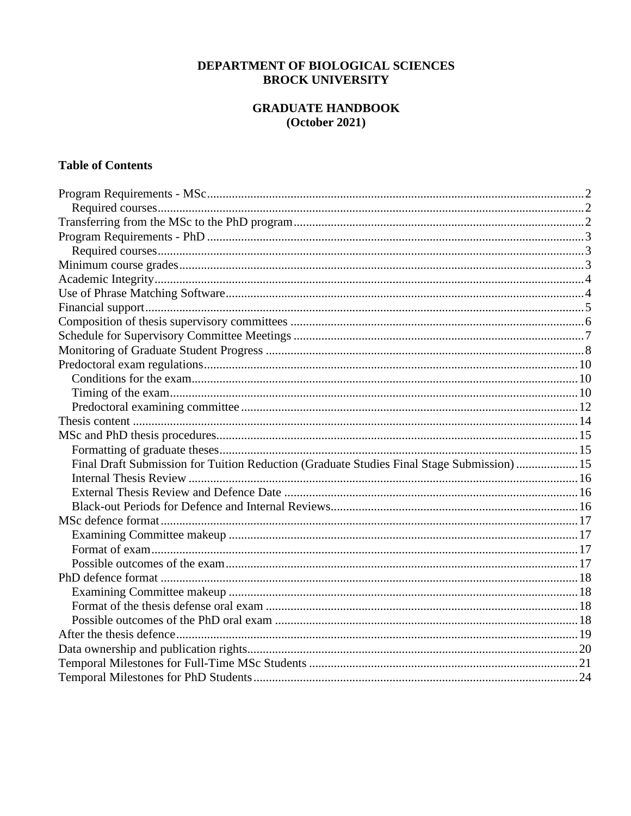# DEPARTMENT OF BIOLOGICAL SCIENCES **BROCK UNIVERSITY**

# **GRADUATE HANDBOOK**  $(October 2021)$

# **Table of Contents**

| Final Draft Submission for Tuition Reduction (Graduate Studies Final Stage Submission)  15 |  |
|--------------------------------------------------------------------------------------------|--|
|                                                                                            |  |
|                                                                                            |  |
|                                                                                            |  |
|                                                                                            |  |
|                                                                                            |  |
|                                                                                            |  |
|                                                                                            |  |
|                                                                                            |  |
|                                                                                            |  |
|                                                                                            |  |
|                                                                                            |  |
|                                                                                            |  |
|                                                                                            |  |
|                                                                                            |  |
|                                                                                            |  |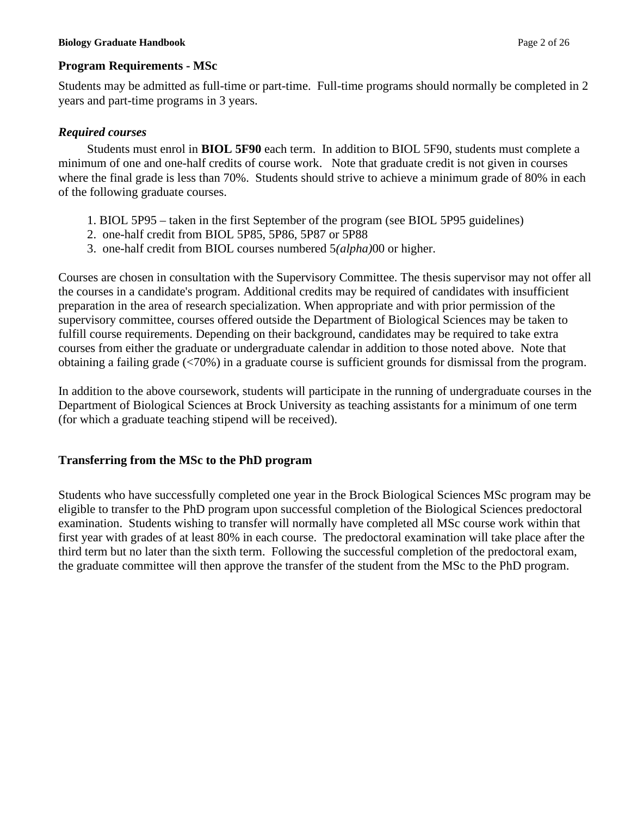## **Program Requirements - MSc**

Students may be admitted as full-time or part-time. Full-time programs should normally be completed in 2 years and part-time programs in 3 years.

# *Required courses*

Students must enrol in **BIOL 5F90** each term. In addition to BIOL 5F90, students must complete a minimum of one and one-half credits of course work. Note that graduate credit is not given in courses where the final grade is less than 70%. Students should strive to achieve a minimum grade of 80% in each of the following graduate courses.

- 1. BIOL 5P95 taken in the first September of the program (see BIOL 5P95 guidelines)
- 2. one-half credit from BIOL 5P85, 5P86, 5P87 or 5P88
- 3. one-half credit from BIOL courses numbered 5*(alpha)*00 or higher.

Courses are chosen in consultation with the Supervisory Committee. The thesis supervisor may not offer all the courses in a candidate's program. Additional credits may be required of candidates with insufficient preparation in the area of research specialization. When appropriate and with prior permission of the supervisory committee, courses offered outside the Department of Biological Sciences may be taken to fulfill course requirements. Depending on their background, candidates may be required to take extra courses from either the graduate or undergraduate calendar in addition to those noted above. Note that obtaining a failing grade (<70%) in a graduate course is sufficient grounds for dismissal from the program.

In addition to the above coursework, students will participate in the running of undergraduate courses in the Department of Biological Sciences at Brock University as teaching assistants for a minimum of one term (for which a graduate teaching stipend will be received).

# **Transferring from the MSc to the PhD program**

Students who have successfully completed one year in the Brock Biological Sciences MSc program may be eligible to transfer to the PhD program upon successful completion of the Biological Sciences predoctoral examination. Students wishing to transfer will normally have completed all MSc course work within that first year with grades of at least 80% in each course. The predoctoral examination will take place after the third term but no later than the sixth term. Following the successful completion of the predoctoral exam, the graduate committee will then approve the transfer of the student from the MSc to the PhD program.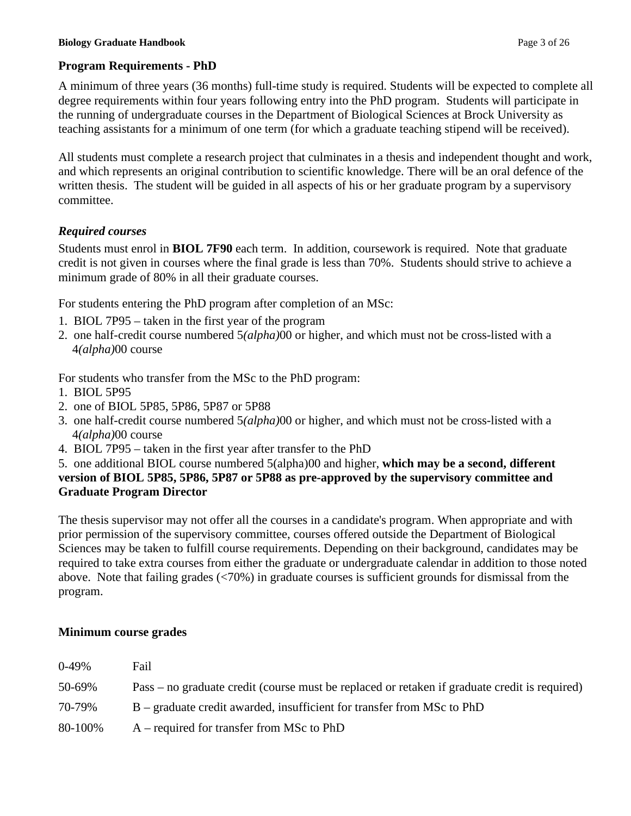# **Program Requirements - PhD**

A minimum of three years (36 months) full-time study is required. Students will be expected to complete all degree requirements within four years following entry into the PhD program. Students will participate in the running of undergraduate courses in the Department of Biological Sciences at Brock University as teaching assistants for a minimum of one term (for which a graduate teaching stipend will be received).

All students must complete a research project that culminates in a thesis and independent thought and work, and which represents an original contribution to scientific knowledge. There will be an oral defence of the written thesis. The student will be guided in all aspects of his or her graduate program by a supervisory committee.

# *Required courses*

Students must enrol in **BIOL 7F90** each term. In addition, coursework is required. Note that graduate credit is not given in courses where the final grade is less than 70%. Students should strive to achieve a minimum grade of 80% in all their graduate courses.

For students entering the PhD program after completion of an MSc:

- 1. BIOL 7P95 taken in the first year of the program
- 2. one half-credit course numbered 5*(alpha)*00 or higher, and which must not be cross-listed with a 4*(alpha)*00 course

For students who transfer from the MSc to the PhD program:

- 1. BIOL 5P95
- 2. one of BIOL 5P85, 5P86, 5P87 or 5P88
- 3. one half-credit course numbered 5*(alpha)*00 or higher, and which must not be cross-listed with a 4*(alpha)*00 course
- 4. BIOL 7P95 taken in the first year after transfer to the PhD

## 5. one additional BIOL course numbered 5(alpha)00 and higher, **which may be a second, different version of BIOL 5P85, 5P86, 5P87 or 5P88 as pre-approved by the supervisory committee and Graduate Program Director**

The thesis supervisor may not offer all the courses in a candidate's program. When appropriate and with prior permission of the supervisory committee, courses offered outside the Department of Biological Sciences may be taken to fulfill course requirements. Depending on their background, candidates may be required to take extra courses from either the graduate or undergraduate calendar in addition to those noted above. Note that failing grades (<70%) in graduate courses is sufficient grounds for dismissal from the program.

### **Minimum course grades**

| $0-49%$ | Fail                                                                                          |
|---------|-----------------------------------------------------------------------------------------------|
| 50-69%  | Pass – no graduate credit (course must be replaced or retaken if graduate credit is required) |
| 70-79%  | B – graduate credit awarded, insufficient for transfer from MSc to PhD                        |
| 80-100% | $A$ – required for transfer from MSc to PhD                                                   |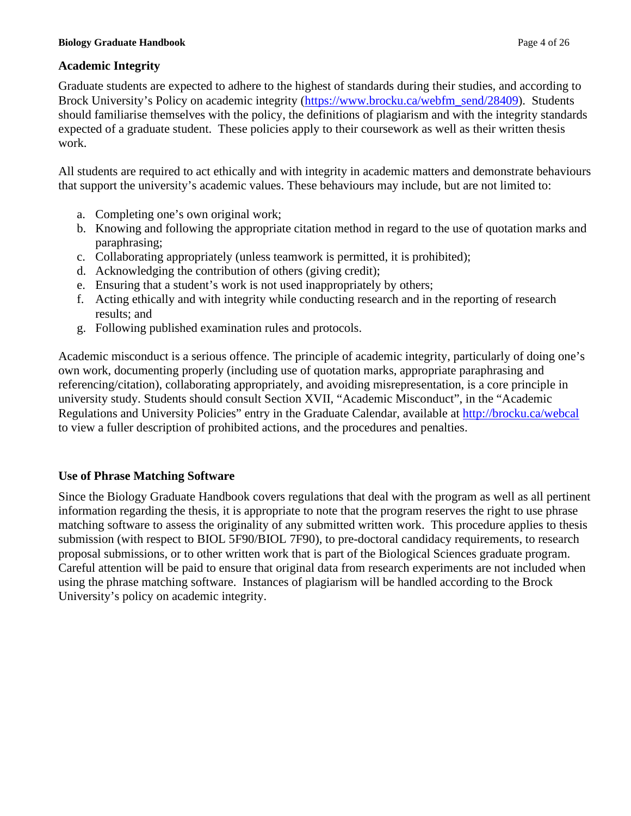# **Academic Integrity**

Graduate students are expected to adhere to the highest of standards during their studies, and according to Brock University's Policy on academic integrity [\(https://www.brocku.ca/webfm\\_send/28409\)](https://www.brocku.ca/webfm_send/28409). Students should familiarise themselves with the policy, the definitions of plagiarism and with the integrity standards expected of a graduate student. These policies apply to their coursework as well as their written thesis work.

All students are required to act ethically and with integrity in academic matters and demonstrate behaviours that support the university's academic values. These behaviours may include, but are not limited to:

- a. Completing one's own original work;
- b. Knowing and following the appropriate citation method in regard to the use of quotation marks and paraphrasing;
- c. Collaborating appropriately (unless teamwork is permitted, it is prohibited);
- d. Acknowledging the contribution of others (giving credit);
- e. Ensuring that a student's work is not used inappropriately by others;
- f. Acting ethically and with integrity while conducting research and in the reporting of research results; and
- g. Following published examination rules and protocols.

Academic misconduct is a serious offence. The principle of academic integrity, particularly of doing one's own work, documenting properly (including use of quotation marks, appropriate paraphrasing and referencing/citation), collaborating appropriately, and avoiding misrepresentation, is a core principle in university study. Students should consult Section XVII, "Academic Misconduct", in the "Academic Regulations and University Policies" entry in the Graduate Calendar, available at<http://brocku.ca/webcal> to view a fuller description of prohibited actions, and the procedures and penalties.

# **Use of Phrase Matching Software**

Since the Biology Graduate Handbook covers regulations that deal with the program as well as all pertinent information regarding the thesis, it is appropriate to note that the program reserves the right to use phrase matching software to assess the originality of any submitted written work. This procedure applies to thesis submission (with respect to BIOL 5F90/BIOL 7F90), to pre-doctoral candidacy requirements, to research proposal submissions, or to other written work that is part of the Biological Sciences graduate program. Careful attention will be paid to ensure that original data from research experiments are not included when using the phrase matching software. Instances of plagiarism will be handled according to the Brock University's policy on academic integrity.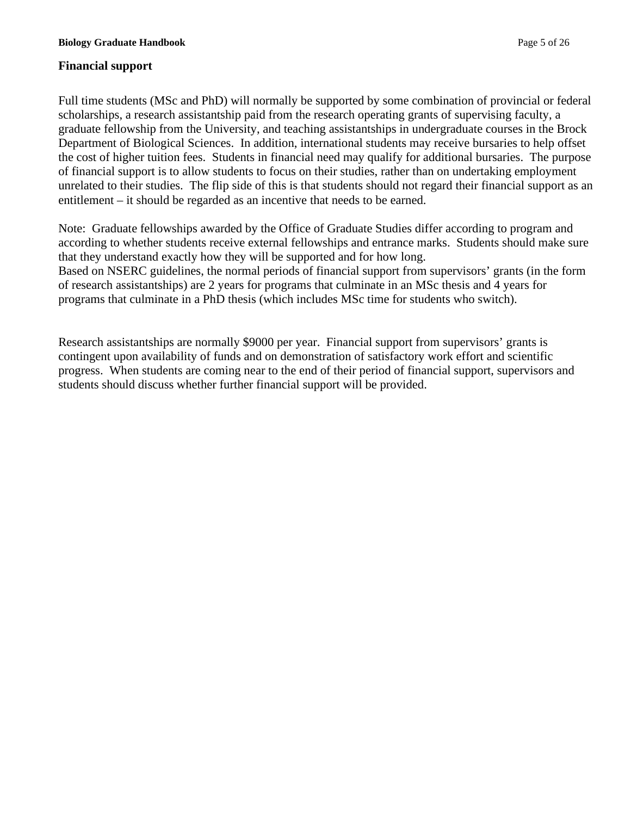## **Financial support**

Full time students (MSc and PhD) will normally be supported by some combination of provincial or federal scholarships, a research assistantship paid from the research operating grants of supervising faculty, a graduate fellowship from the University, and teaching assistantships in undergraduate courses in the Brock Department of Biological Sciences. In addition, international students may receive bursaries to help offset the cost of higher tuition fees. Students in financial need may qualify for additional bursaries. The purpose of financial support is to allow students to focus on their studies, rather than on undertaking employment unrelated to their studies. The flip side of this is that students should not regard their financial support as an entitlement – it should be regarded as an incentive that needs to be earned.

Note: Graduate fellowships awarded by the Office of Graduate Studies differ according to program and according to whether students receive external fellowships and entrance marks. Students should make sure that they understand exactly how they will be supported and for how long. Based on NSERC guidelines, the normal periods of financial support from supervisors' grants (in the form of research assistantships) are 2 years for programs that culminate in an MSc thesis and 4 years for programs that culminate in a PhD thesis (which includes MSc time for students who switch).

Research assistantships are normally \$9000 per year. Financial support from supervisors' grants is contingent upon availability of funds and on demonstration of satisfactory work effort and scientific progress. When students are coming near to the end of their period of financial support, supervisors and students should discuss whether further financial support will be provided.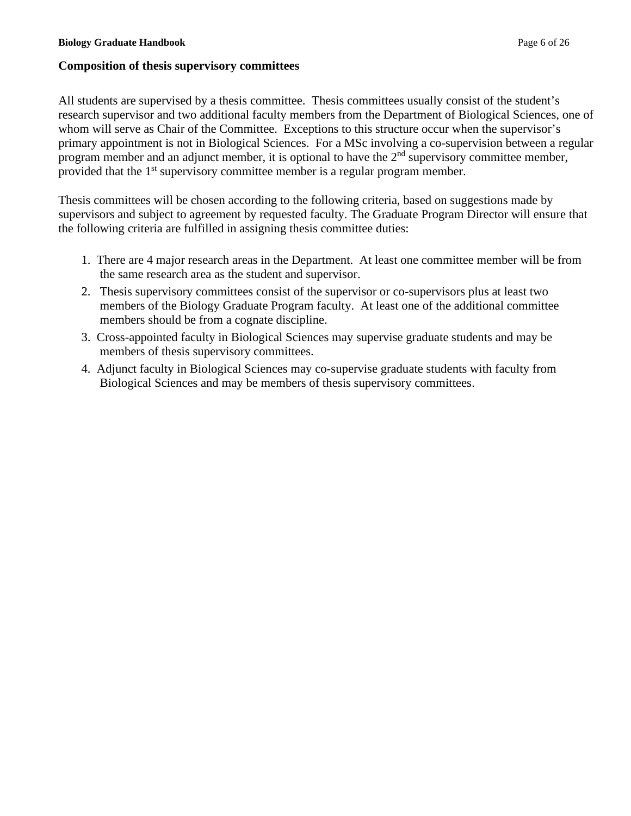## **Composition of thesis supervisory committees**

All students are supervised by a thesis committee. Thesis committees usually consist of the student's research supervisor and two additional faculty members from the Department of Biological Sciences, one of whom will serve as Chair of the Committee. Exceptions to this structure occur when the supervisor's primary appointment is not in Biological Sciences. For a MSc involving a co-supervision between a regular program member and an adjunct member, it is optional to have the  $2<sup>nd</sup>$  supervisory committee member, provided that the 1<sup>st</sup> supervisory committee member is a regular program member.

Thesis committees will be chosen according to the following criteria, based on suggestions made by supervisors and subject to agreement by requested faculty. The Graduate Program Director will ensure that the following criteria are fulfilled in assigning thesis committee duties:

- 1. There are 4 major research areas in the Department. At least one committee member will be from the same research area as the student and supervisor.
- 2. Thesis supervisory committees consist of the supervisor or co-supervisors plus at least two members of the Biology Graduate Program faculty. At least one of the additional committee members should be from a cognate discipline.
- 3. Cross-appointed faculty in Biological Sciences may supervise graduate students and may be members of thesis supervisory committees.
- 4. Adjunct faculty in Biological Sciences may co-supervise graduate students with faculty from Biological Sciences and may be members of thesis supervisory committees.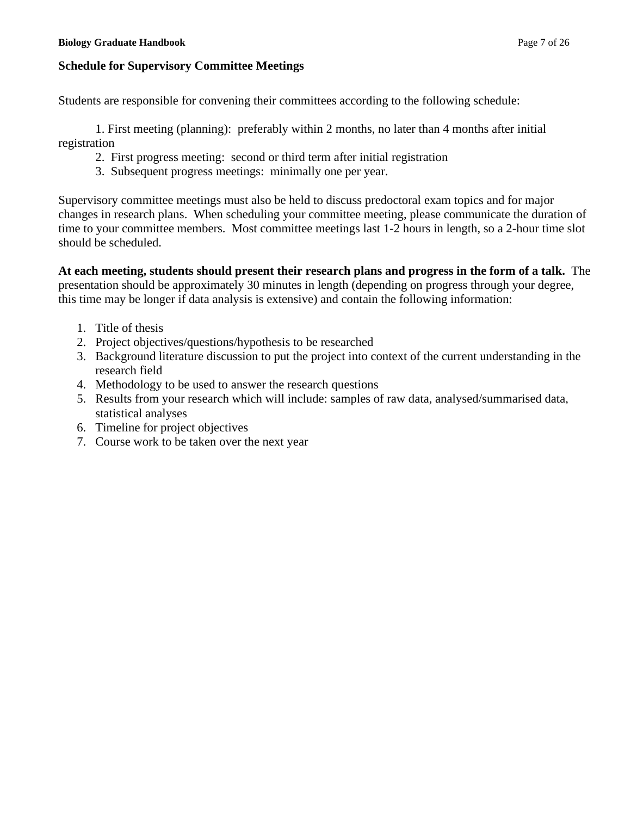## **Schedule for Supervisory Committee Meetings**

Students are responsible for convening their committees according to the following schedule:

1. First meeting (planning): preferably within 2 months, no later than 4 months after initial registration

- 2. First progress meeting: second or third term after initial registration
- 3. Subsequent progress meetings: minimally one per year.

Supervisory committee meetings must also be held to discuss predoctoral exam topics and for major changes in research plans. When scheduling your committee meeting, please communicate the duration of time to your committee members. Most committee meetings last 1-2 hours in length, so a 2-hour time slot should be scheduled.

**At each meeting, students should present their research plans and progress in the form of a talk.** The presentation should be approximately 30 minutes in length (depending on progress through your degree, this time may be longer if data analysis is extensive) and contain the following information:

- 1. Title of thesis
- 2. Project objectives/questions/hypothesis to be researched
- 3. Background literature discussion to put the project into context of the current understanding in the research field
- 4. Methodology to be used to answer the research questions
- 5. Results from your research which will include: samples of raw data, analysed/summarised data, statistical analyses
- 6. Timeline for project objectives
- 7. Course work to be taken over the next year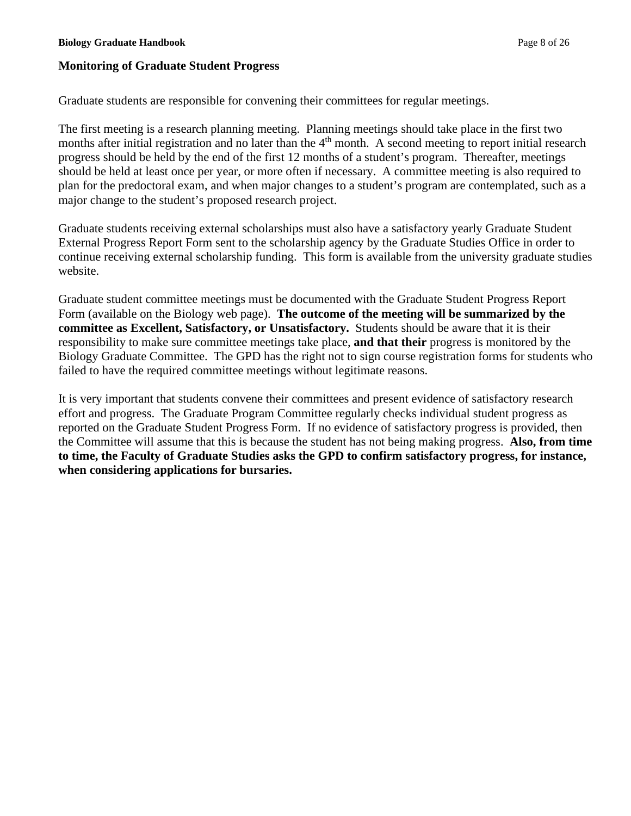## **Monitoring of Graduate Student Progress**

Graduate students are responsible for convening their committees for regular meetings.

The first meeting is a research planning meeting. Planning meetings should take place in the first two months after initial registration and no later than the 4<sup>th</sup> month. A second meeting to report initial research progress should be held by the end of the first 12 months of a student's program. Thereafter, meetings should be held at least once per year, or more often if necessary. A committee meeting is also required to plan for the predoctoral exam, and when major changes to a student's program are contemplated, such as a major change to the student's proposed research project.

Graduate students receiving external scholarships must also have a satisfactory yearly Graduate Student External Progress Report Form sent to the scholarship agency by the Graduate Studies Office in order to continue receiving external scholarship funding. This form is available from the university graduate studies website.

Graduate student committee meetings must be documented with the Graduate Student Progress Report Form (available on the Biology web page). **The outcome of the meeting will be summarized by the committee as Excellent, Satisfactory, or Unsatisfactory.** Students should be aware that it is their responsibility to make sure committee meetings take place, **and that their** progress is monitored by the Biology Graduate Committee. The GPD has the right not to sign course registration forms for students who failed to have the required committee meetings without legitimate reasons.

It is very important that students convene their committees and present evidence of satisfactory research effort and progress. The Graduate Program Committee regularly checks individual student progress as reported on the Graduate Student Progress Form. If no evidence of satisfactory progress is provided, then the Committee will assume that this is because the student has not being making progress. **Also, from time to time, the Faculty of Graduate Studies asks the GPD to confirm satisfactory progress, for instance, when considering applications for bursaries.**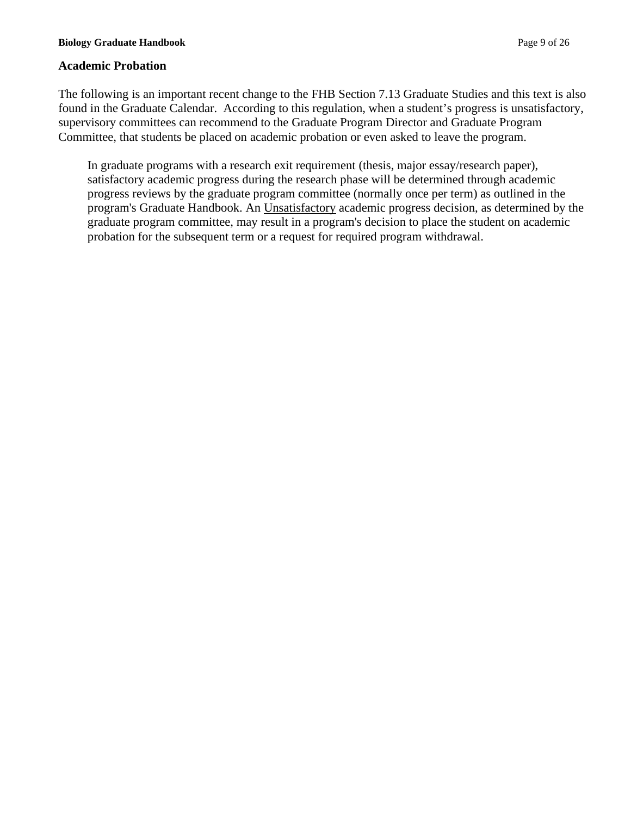## **Academic Probation**

The following is an important recent change to the FHB Section 7.13 Graduate Studies and this text is also found in the Graduate Calendar. According to this regulation, when a student's progress is unsatisfactory, supervisory committees can recommend to the Graduate Program Director and Graduate Program Committee, that students be placed on academic probation or even asked to leave the program.

In graduate programs with a research exit requirement (thesis, major essay/research paper), satisfactory academic progress during the research phase will be determined through academic progress reviews by the graduate program committee (normally once per term) as outlined in the program's Graduate Handbook. An Unsatisfactory academic progress decision, as determined by the graduate program committee, may result in a program's decision to place the student on academic probation for the subsequent term or a request for required program withdrawal.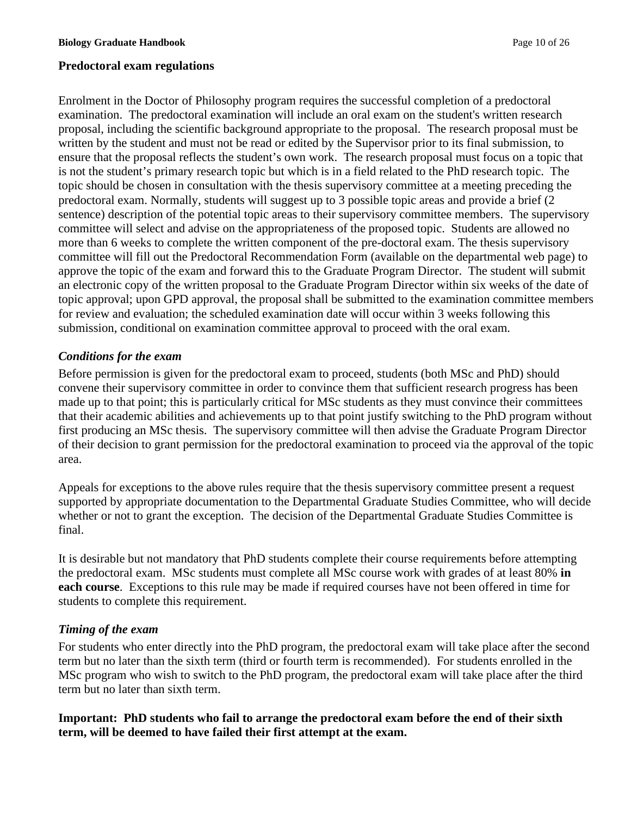## **Predoctoral exam regulations**

Enrolment in the Doctor of Philosophy program requires the successful completion of a predoctoral examination. The predoctoral examination will include an oral exam on the student's written research proposal, including the scientific background appropriate to the proposal. The research proposal must be written by the student and must not be read or edited by the Supervisor prior to its final submission, to ensure that the proposal reflects the student's own work. The research proposal must focus on a topic that is not the student's primary research topic but which is in a field related to the PhD research topic. The topic should be chosen in consultation with the thesis supervisory committee at a meeting preceding the predoctoral exam. Normally, students will suggest up to 3 possible topic areas and provide a brief (2 sentence) description of the potential topic areas to their supervisory committee members. The supervisory committee will select and advise on the appropriateness of the proposed topic. Students are allowed no more than 6 weeks to complete the written component of the pre-doctoral exam. The thesis supervisory committee will fill out the Predoctoral Recommendation Form (available on the departmental web page) to approve the topic of the exam and forward this to the Graduate Program Director. The student will submit an electronic copy of the written proposal to the Graduate Program Director within six weeks of the date of topic approval; upon GPD approval, the proposal shall be submitted to the examination committee members for review and evaluation; the scheduled examination date will occur within 3 weeks following this submission, conditional on examination committee approval to proceed with the oral exam.

## *Conditions for the exam*

Before permission is given for the predoctoral exam to proceed, students (both MSc and PhD) should convene their supervisory committee in order to convince them that sufficient research progress has been made up to that point; this is particularly critical for MSc students as they must convince their committees that their academic abilities and achievements up to that point justify switching to the PhD program without first producing an MSc thesis. The supervisory committee will then advise the Graduate Program Director of their decision to grant permission for the predoctoral examination to proceed via the approval of the topic area.

Appeals for exceptions to the above rules require that the thesis supervisory committee present a request supported by appropriate documentation to the Departmental Graduate Studies Committee, who will decide whether or not to grant the exception. The decision of the Departmental Graduate Studies Committee is final.

It is desirable but not mandatory that PhD students complete their course requirements before attempting the predoctoral exam. MSc students must complete all MSc course work with grades of at least 80% **in each course**. Exceptions to this rule may be made if required courses have not been offered in time for students to complete this requirement.

### *Timing of the exam*

For students who enter directly into the PhD program, the predoctoral exam will take place after the second term but no later than the sixth term (third or fourth term is recommended). For students enrolled in the MSc program who wish to switch to the PhD program, the predoctoral exam will take place after the third term but no later than sixth term.

**Important: PhD students who fail to arrange the predoctoral exam before the end of their sixth term, will be deemed to have failed their first attempt at the exam.**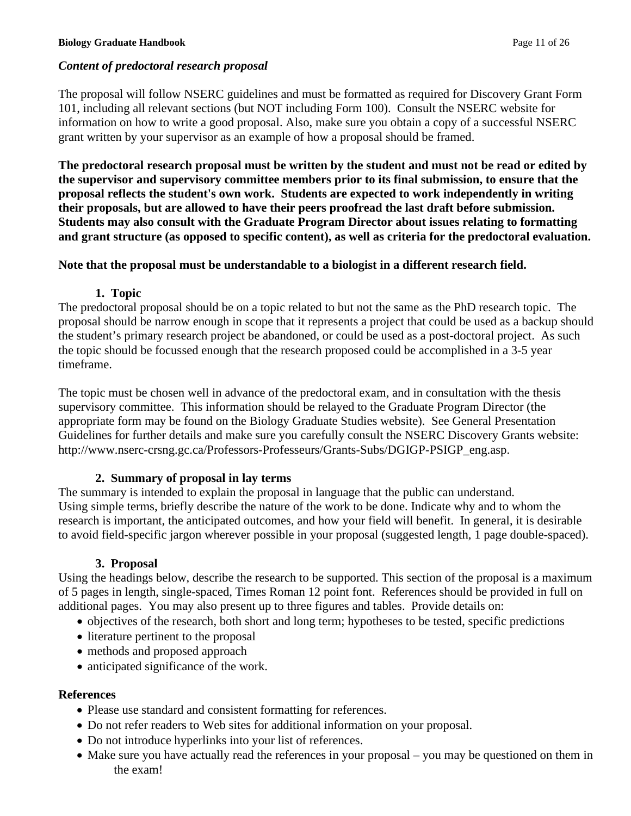# *Content of predoctoral research proposal*

The proposal will follow NSERC guidelines and must be formatted as required for Discovery Grant Form 101, including all relevant sections (but NOT including Form 100). Consult the NSERC website for information on how to write a good proposal. Also, make sure you obtain a copy of a successful NSERC grant written by your supervisor as an example of how a proposal should be framed.

**The predoctoral research proposal must be written by the student and must not be read or edited by the supervisor and supervisory committee members prior to its final submission, to ensure that the proposal reflects the student's own work. Students are expected to work independently in writing their proposals, but are allowed to have their peers proofread the last draft before submission. Students may also consult with the Graduate Program Director about issues relating to formatting and grant structure (as opposed to specific content), as well as criteria for the predoctoral evaluation.**

# **Note that the proposal must be understandable to a biologist in a different research field.**

# **1. Topic**

The predoctoral proposal should be on a topic related to but not the same as the PhD research topic. The proposal should be narrow enough in scope that it represents a project that could be used as a backup should the student's primary research project be abandoned, or could be used as a post-doctoral project. As such the topic should be focussed enough that the research proposed could be accomplished in a 3-5 year timeframe.

The topic must be chosen well in advance of the predoctoral exam, and in consultation with the thesis supervisory committee. This information should be relayed to the Graduate Program Director (the appropriate form may be found on the Biology Graduate Studies website). See General Presentation Guidelines for further details and make sure you carefully consult the NSERC Discovery Grants website: http://www.nserc-crsng.gc.ca/Professors-Professeurs/Grants-Subs/DGIGP-PSIGP\_eng.asp.

# **2. Summary of proposal in lay terms**

The summary is intended to explain the proposal in language that the public can understand. Using simple terms, briefly describe the nature of the work to be done. Indicate why and to whom the research is important, the anticipated outcomes, and how your field will benefit. In general, it is desirable to avoid field-specific jargon wherever possible in your proposal (suggested length, 1 page double-spaced).

# **3. Proposal**

Using the headings below, describe the research to be supported. This section of the proposal is a maximum of 5 pages in length, single-spaced, Times Roman 12 point font. References should be provided in full on additional pages. You may also present up to three figures and tables. Provide details on:

- objectives of the research, both short and long term; hypotheses to be tested, specific predictions
- literature pertinent to the proposal
- methods and proposed approach
- anticipated significance of the work.

# **References**

- Please use standard and consistent formatting for references.
- Do not refer readers to Web sites for additional information on your proposal.
- Do not introduce hyperlinks into your list of references.
- Make sure you have actually read the references in your proposal you may be questioned on them in the exam!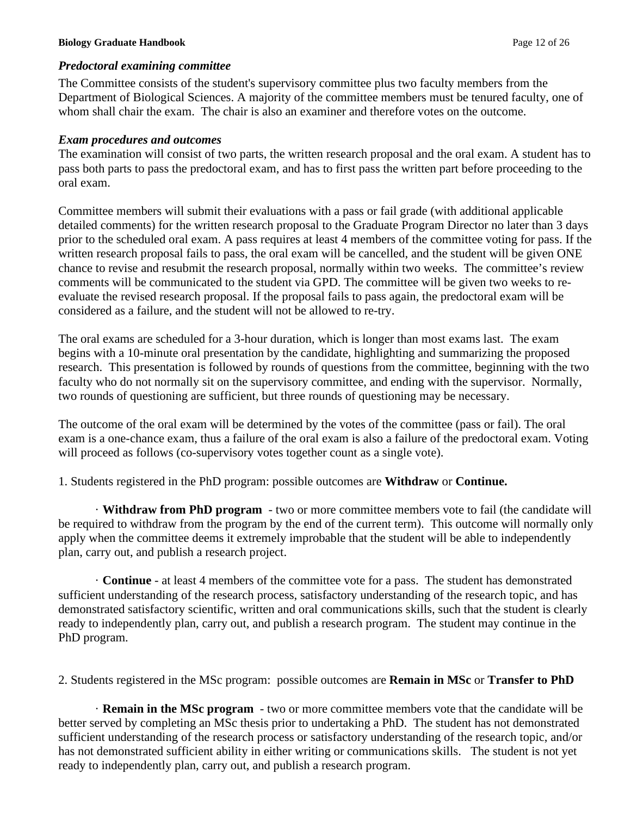#### **Biology Graduate Handbook** Page 12 of 26

#### *Predoctoral examining committee*

The Committee consists of the student's supervisory committee plus two faculty members from the Department of Biological Sciences. A majority of the committee members must be tenured faculty, one of whom shall chair the exam. The chair is also an examiner and therefore votes on the outcome.

#### *Exam procedures and outcomes*

The examination will consist of two parts, the written research proposal and the oral exam. A student has to pass both parts to pass the predoctoral exam, and has to first pass the written part before proceeding to the oral exam.

Committee members will submit their evaluations with a pass or fail grade (with additional applicable detailed comments) for the written research proposal to the Graduate Program Director no later than 3 days prior to the scheduled oral exam. A pass requires at least 4 members of the committee voting for pass. If the written research proposal fails to pass, the oral exam will be cancelled, and the student will be given ONE chance to revise and resubmit the research proposal, normally within two weeks. The committee's review comments will be communicated to the student via GPD. The committee will be given two weeks to reevaluate the revised research proposal. If the proposal fails to pass again, the predoctoral exam will be considered as a failure, and the student will not be allowed to re-try.

The oral exams are scheduled for a 3-hour duration, which is longer than most exams last. The exam begins with a 10-minute oral presentation by the candidate, highlighting and summarizing the proposed research. This presentation is followed by rounds of questions from the committee, beginning with the two faculty who do not normally sit on the supervisory committee, and ending with the supervisor. Normally, two rounds of questioning are sufficient, but three rounds of questioning may be necessary.

The outcome of the oral exam will be determined by the votes of the committee (pass or fail). The oral exam is a one-chance exam, thus a failure of the oral exam is also a failure of the predoctoral exam. Voting will proceed as follows (co-supervisory votes together count as a single vote).

1. Students registered in the PhD program: possible outcomes are **Withdraw** or **Continue.**

· **Withdraw from PhD program** - two or more committee members vote to fail (the candidate will be required to withdraw from the program by the end of the current term). This outcome will normally only apply when the committee deems it extremely improbable that the student will be able to independently plan, carry out, and publish a research project.

· **Continue** - at least 4 members of the committee vote for a pass. The student has demonstrated sufficient understanding of the research process, satisfactory understanding of the research topic, and has demonstrated satisfactory scientific, written and oral communications skills, such that the student is clearly ready to independently plan, carry out, and publish a research program. The student may continue in the PhD program.

2. Students registered in the MSc program: possible outcomes are **Remain in MSc** or **Transfer to PhD**

· **Remain in the MSc program** - two or more committee members vote that the candidate will be better served by completing an MSc thesis prior to undertaking a PhD. The student has not demonstrated sufficient understanding of the research process or satisfactory understanding of the research topic, and/or has not demonstrated sufficient ability in either writing or communications skills. The student is not yet ready to independently plan, carry out, and publish a research program.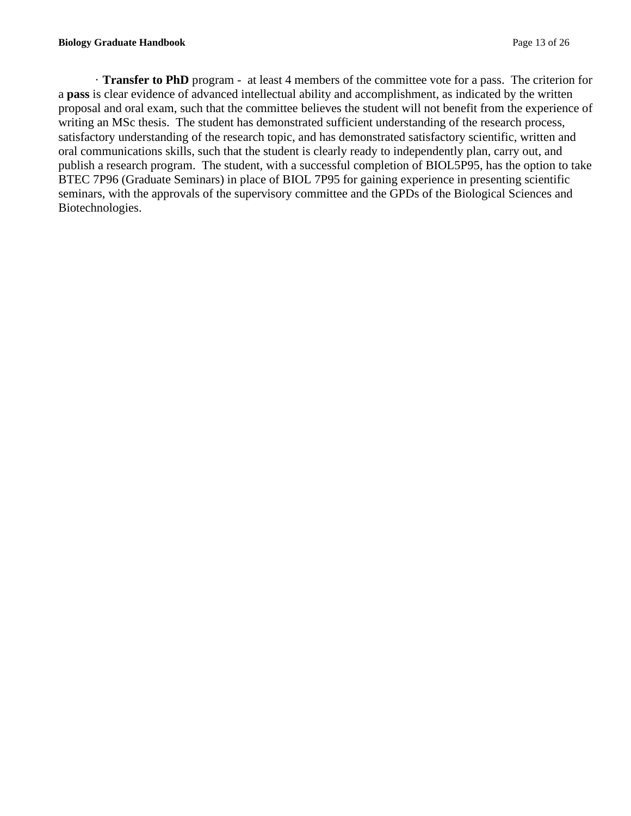· **Transfer to PhD** program - at least 4 members of the committee vote for a pass. The criterion for a **pass** is clear evidence of advanced intellectual ability and accomplishment, as indicated by the written proposal and oral exam, such that the committee believes the student will not benefit from the experience of writing an MSc thesis. The student has demonstrated sufficient understanding of the research process, satisfactory understanding of the research topic, and has demonstrated satisfactory scientific, written and oral communications skills, such that the student is clearly ready to independently plan, carry out, and publish a research program. The student, with a successful completion of BIOL5P95, has the option to take BTEC 7P96 (Graduate Seminars) in place of BIOL 7P95 for gaining experience in presenting scientific seminars, with the approvals of the supervisory committee and the GPDs of the Biological Sciences and Biotechnologies.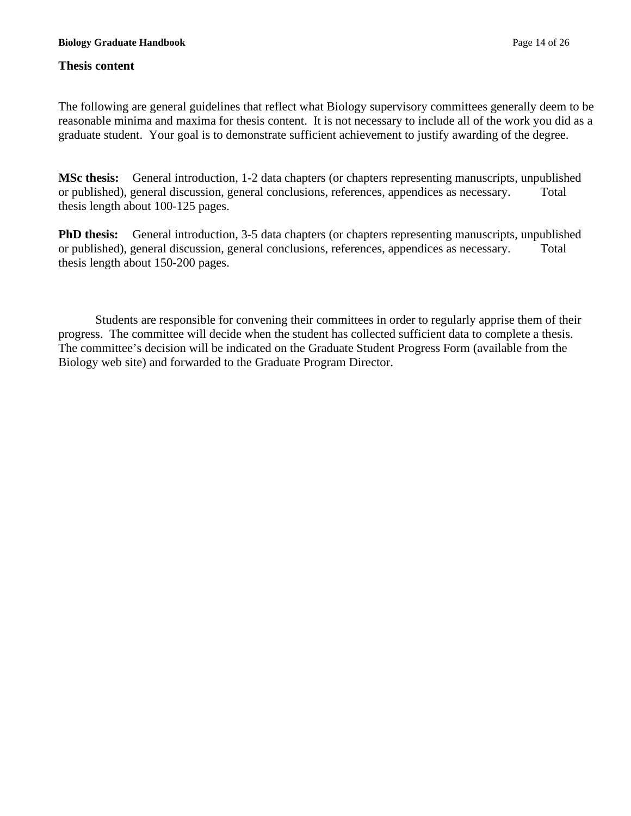### **Thesis content**

The following are general guidelines that reflect what Biology supervisory committees generally deem to be reasonable minima and maxima for thesis content. It is not necessary to include all of the work you did as a graduate student. Your goal is to demonstrate sufficient achievement to justify awarding of the degree.

**MSc thesis:** General introduction, 1-2 data chapters (or chapters representing manuscripts, unpublished or published), general discussion, general conclusions, references, appendices as necessary. Total thesis length about 100-125 pages.

**PhD thesis:** General introduction, 3-5 data chapters (or chapters representing manuscripts, unpublished or published), general discussion, general conclusions, references, appendices as necessary. Total thesis length about 150-200 pages.

Students are responsible for convening their committees in order to regularly apprise them of their progress. The committee will decide when the student has collected sufficient data to complete a thesis. The committee's decision will be indicated on the Graduate Student Progress Form (available from the Biology web site) and forwarded to the Graduate Program Director.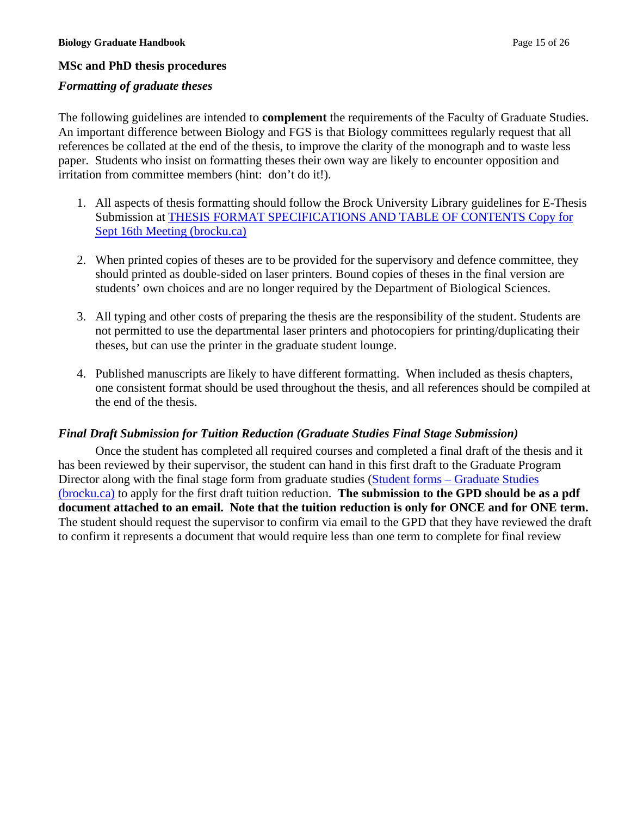### **MSc and PhD thesis procedures**

### *Formatting of graduate theses*

The following guidelines are intended to **complement** the requirements of the Faculty of Graduate Studies. An important difference between Biology and FGS is that Biology committees regularly request that all references be collated at the end of the thesis, to improve the clarity of the monograph and to waste less paper. Students who insist on formatting theses their own way are likely to encounter opposition and irritation from committee members (hint: don't do it!).

- 1. All aspects of thesis formatting should follow the Brock University Library guidelines for E-Thesis Submission at [THESIS FORMAT SPECIFICATIONS AND TABLE OF CONTENTS Copy for](https://brocku.ca/graduate-studies/wp-content/uploads/sites/28/E-Thesis-Format-Specifications-32269-03-2017.pdf)  [Sept 16th Meeting \(brocku.ca\)](https://brocku.ca/graduate-studies/wp-content/uploads/sites/28/E-Thesis-Format-Specifications-32269-03-2017.pdf)
- 2. When printed copies of theses are to be provided for the supervisory and defence committee, they should printed as double-sided on laser printers. Bound copies of theses in the final version are students' own choices and are no longer required by the Department of Biological Sciences.
- 3. All typing and other costs of preparing the thesis are the responsibility of the student. Students are not permitted to use the departmental laser printers and photocopiers for printing/duplicating their theses, but can use the printer in the graduate student lounge.
- 4. Published manuscripts are likely to have different formatting. When included as thesis chapters, one consistent format should be used throughout the thesis, and all references should be compiled at the end of the thesis.

### *Final Draft Submission for Tuition Reduction (Graduate Studies Final Stage Submission)*

Once the student has completed all required courses and completed a final draft of the thesis and it has been reviewed by their supervisor, the student can hand in this first draft to the Graduate Program Director along with the final stage form from graduate studies (Student forms – Graduate Studies [\(brocku.ca\)](https://brocku.ca/graduate-studies/student-resources/forms/#registration) to apply for the first draft tuition reduction. **The submission to the GPD should be as a pdf document attached to an email. Note that the tuition reduction is only for ONCE and for ONE term.**  The student should request the supervisor to confirm via email to the GPD that they have reviewed the draft to confirm it represents a document that would require less than one term to complete for final review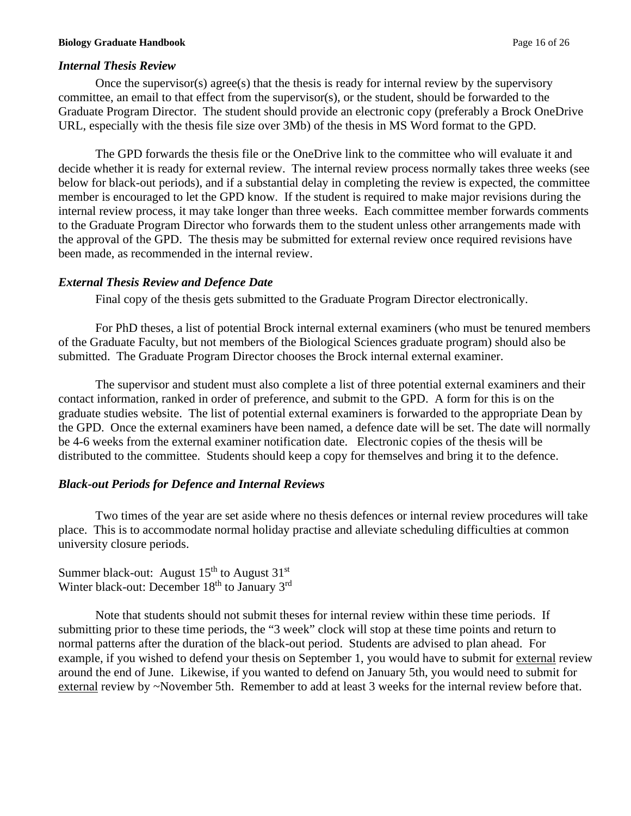## *Internal Thesis Review*

Once the supervisor(s) agree(s) that the thesis is ready for internal review by the supervisory committee, an email to that effect from the supervisor(s), or the student, should be forwarded to the Graduate Program Director. The student should provide an electronic copy (preferably a Brock OneDrive URL, especially with the thesis file size over 3Mb) of the thesis in MS Word format to the GPD.

The GPD forwards the thesis file or the OneDrive link to the committee who will evaluate it and decide whether it is ready for external review. The internal review process normally takes three weeks (see below for black-out periods), and if a substantial delay in completing the review is expected, the committee member is encouraged to let the GPD know. If the student is required to make major revisions during the internal review process, it may take longer than three weeks. Each committee member forwards comments to the Graduate Program Director who forwards them to the student unless other arrangements made with the approval of the GPD. The thesis may be submitted for external review once required revisions have been made, as recommended in the internal review.

## *External Thesis Review and Defence Date*

Final copy of the thesis gets submitted to the Graduate Program Director electronically.

For PhD theses, a list of potential Brock internal external examiners (who must be tenured members of the Graduate Faculty, but not members of the Biological Sciences graduate program) should also be submitted. The Graduate Program Director chooses the Brock internal external examiner.

The supervisor and student must also complete a list of three potential external examiners and their contact information, ranked in order of preference, and submit to the GPD. A form for this is on the graduate studies website. The list of potential external examiners is forwarded to the appropriate Dean by the GPD. Once the external examiners have been named, a defence date will be set. The date will normally be 4-6 weeks from the external examiner notification date. Electronic copies of the thesis will be distributed to the committee. Students should keep a copy for themselves and bring it to the defence.

# *Black-out Periods for Defence and Internal Reviews*

Two times of the year are set aside where no thesis defences or internal review procedures will take place. This is to accommodate normal holiday practise and alleviate scheduling difficulties at common university closure periods.

Summer black-out: August  $15<sup>th</sup>$  to August  $31<sup>st</sup>$ Winter black-out: December  $18<sup>th</sup>$  to January  $3<sup>rd</sup>$ 

Note that students should not submit theses for internal review within these time periods. If submitting prior to these time periods, the "3 week" clock will stop at these time points and return to normal patterns after the duration of the black-out period. Students are advised to plan ahead. For example, if you wished to defend your thesis on September 1, you would have to submit for external review around the end of June. Likewise, if you wanted to defend on January 5th, you would need to submit for external review by ~November 5th. Remember to add at least 3 weeks for the internal review before that.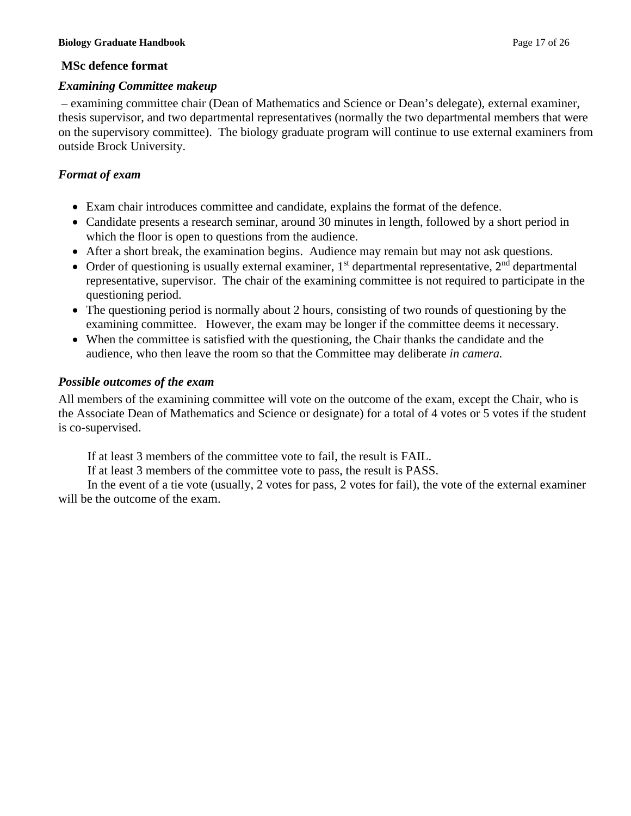#### **Biology Graduate Handbook** Page 17 of 26

#### **MSc defence format**

#### *Examining Committee makeup*

– examining committee chair (Dean of Mathematics and Science or Dean's delegate), external examiner, thesis supervisor, and two departmental representatives (normally the two departmental members that were on the supervisory committee). The biology graduate program will continue to use external examiners from outside Brock University.

### *Format of exam*

- Exam chair introduces committee and candidate, explains the format of the defence.
- Candidate presents a research seminar, around 30 minutes in length, followed by a short period in which the floor is open to questions from the audience.
- After a short break, the examination begins. Audience may remain but may not ask questions.
- Order of questioning is usually external examiner,  $1<sup>st</sup>$  departmental representative,  $2<sup>nd</sup>$  departmental representative, supervisor. The chair of the examining committee is not required to participate in the questioning period.
- The questioning period is normally about 2 hours, consisting of two rounds of questioning by the examining committee. However, the exam may be longer if the committee deems it necessary.
- When the committee is satisfied with the questioning, the Chair thanks the candidate and the audience, who then leave the room so that the Committee may deliberate *in camera.*

### *Possible outcomes of the exam*

All members of the examining committee will vote on the outcome of the exam, except the Chair, who is the Associate Dean of Mathematics and Science or designate) for a total of 4 votes or 5 votes if the student is co-supervised.

If at least 3 members of the committee vote to fail, the result is FAIL.

If at least 3 members of the committee vote to pass, the result is PASS.

In the event of a tie vote (usually, 2 votes for pass, 2 votes for fail), the vote of the external examiner will be the outcome of the exam.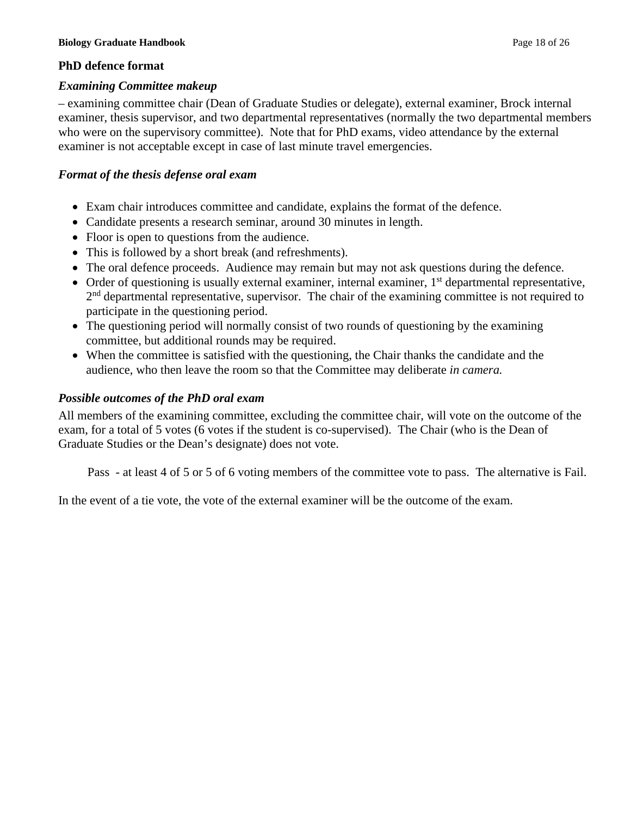#### **Biology Graduate Handbook** Page 18 of 26

## **PhD defence format**

### *Examining Committee makeup*

– examining committee chair (Dean of Graduate Studies or delegate), external examiner, Brock internal examiner, thesis supervisor, and two departmental representatives (normally the two departmental members who were on the supervisory committee). Note that for PhD exams, video attendance by the external examiner is not acceptable except in case of last minute travel emergencies.

## *Format of the thesis defense oral exam*

- Exam chair introduces committee and candidate, explains the format of the defence.
- Candidate presents a research seminar, around 30 minutes in length.
- Floor is open to questions from the audience.
- This is followed by a short break (and refreshments).
- The oral defence proceeds. Audience may remain but may not ask questions during the defence.
- Order of questioning is usually external examiner, internal examiner,  $1<sup>st</sup>$  departmental representative, 2<sup>nd</sup> departmental representative, supervisor. The chair of the examining committee is not required to participate in the questioning period.
- The questioning period will normally consist of two rounds of questioning by the examining committee, but additional rounds may be required.
- When the committee is satisfied with the questioning, the Chair thanks the candidate and the audience, who then leave the room so that the Committee may deliberate *in camera.*

# *Possible outcomes of the PhD oral exam*

All members of the examining committee, excluding the committee chair, will vote on the outcome of the exam, for a total of 5 votes (6 votes if the student is co-supervised). The Chair (who is the Dean of Graduate Studies or the Dean's designate) does not vote.

Pass - at least 4 of 5 or 5 of 6 voting members of the committee vote to pass. The alternative is Fail.

In the event of a tie vote, the vote of the external examiner will be the outcome of the exam.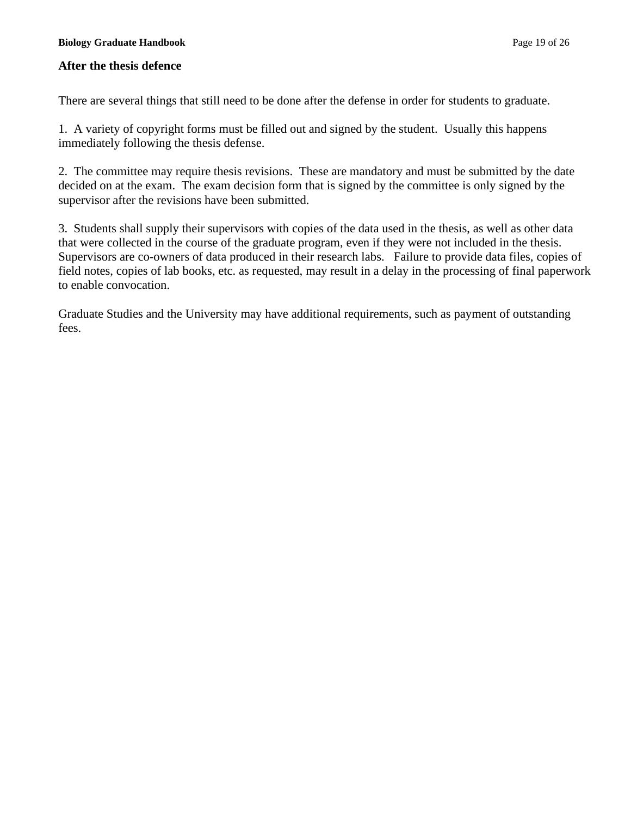#### **Biology Graduate Handbook** Page 19 of 26

### **After the thesis defence**

There are several things that still need to be done after the defense in order for students to graduate.

1. A variety of copyright forms must be filled out and signed by the student. Usually this happens immediately following the thesis defense.

2. The committee may require thesis revisions. These are mandatory and must be submitted by the date decided on at the exam. The exam decision form that is signed by the committee is only signed by the supervisor after the revisions have been submitted.

3. Students shall supply their supervisors with copies of the data used in the thesis, as well as other data that were collected in the course of the graduate program, even if they were not included in the thesis. Supervisors are co-owners of data produced in their research labs. Failure to provide data files, copies of field notes, copies of lab books, etc. as requested, may result in a delay in the processing of final paperwork to enable convocation.

Graduate Studies and the University may have additional requirements, such as payment of outstanding fees.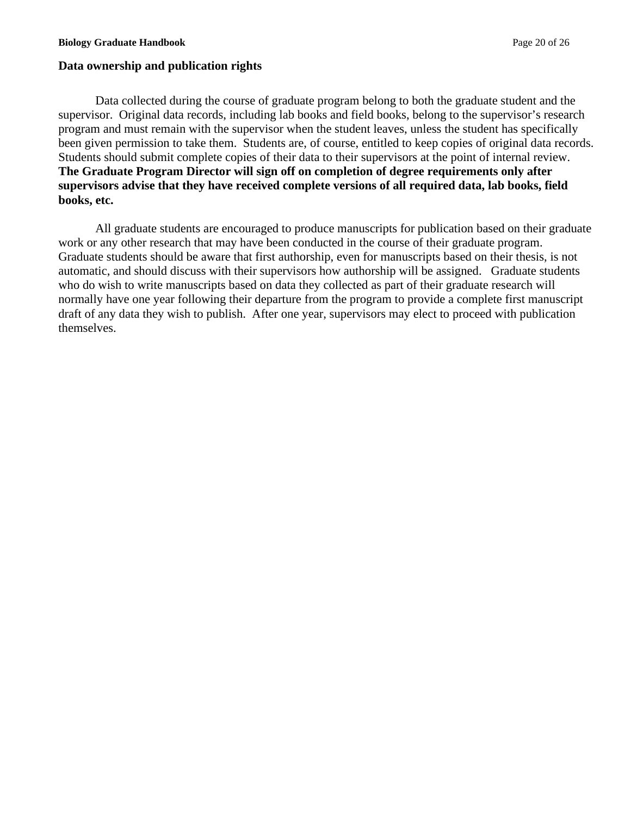#### **Biology Graduate Handbook** Page 20 of 26

#### **Data ownership and publication rights**

Data collected during the course of graduate program belong to both the graduate student and the supervisor. Original data records, including lab books and field books, belong to the supervisor's research program and must remain with the supervisor when the student leaves, unless the student has specifically been given permission to take them. Students are, of course, entitled to keep copies of original data records. Students should submit complete copies of their data to their supervisors at the point of internal review. **The Graduate Program Director will sign off on completion of degree requirements only after supervisors advise that they have received complete versions of all required data, lab books, field books, etc.** 

All graduate students are encouraged to produce manuscripts for publication based on their graduate work or any other research that may have been conducted in the course of their graduate program. Graduate students should be aware that first authorship, even for manuscripts based on their thesis, is not automatic, and should discuss with their supervisors how authorship will be assigned. Graduate students who do wish to write manuscripts based on data they collected as part of their graduate research will normally have one year following their departure from the program to provide a complete first manuscript draft of any data they wish to publish. After one year, supervisors may elect to proceed with publication themselves.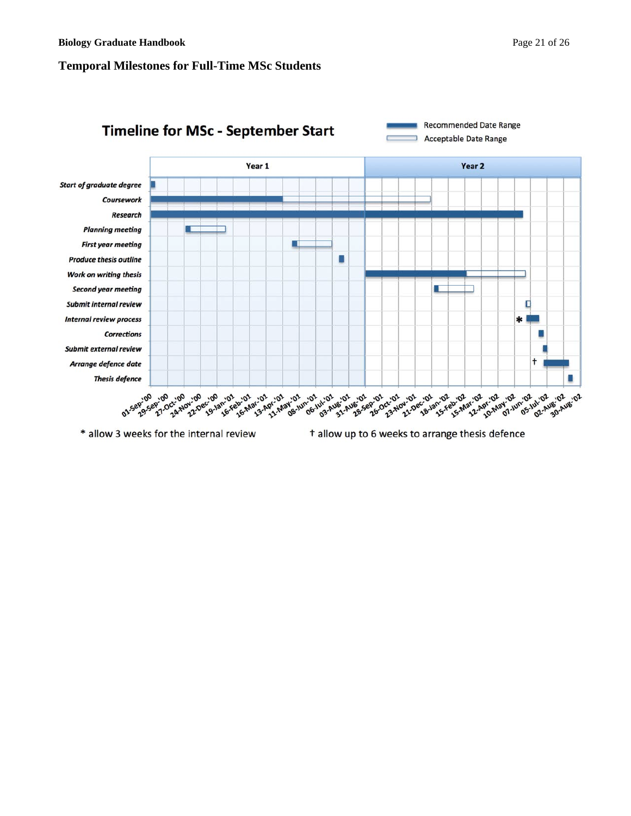## **Temporal Milestones for Ful l -Time MSc Student s**



t allow up to 6 weeks to arrange thesis defence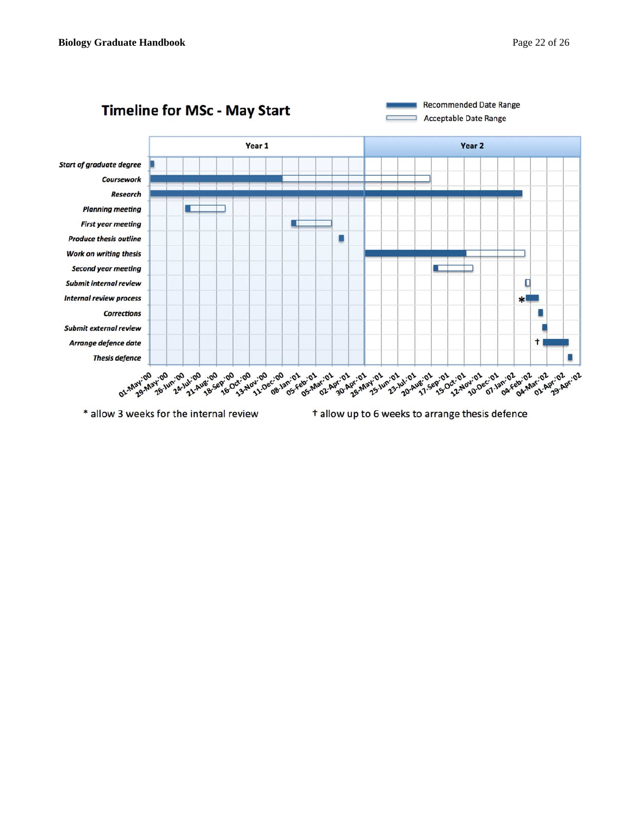

t allow up to 6 weeks to arrange thesis defence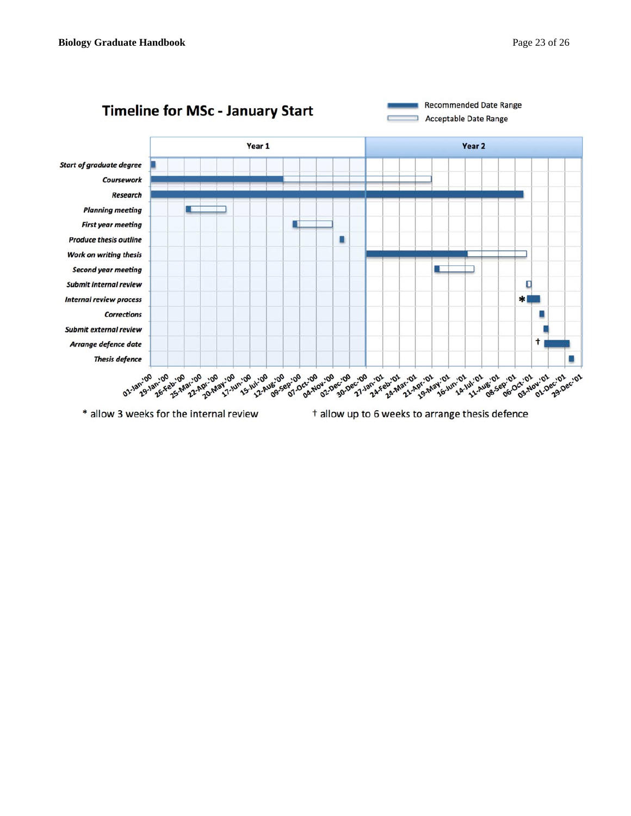

t allow up to 6 weeks to arrange thesis defence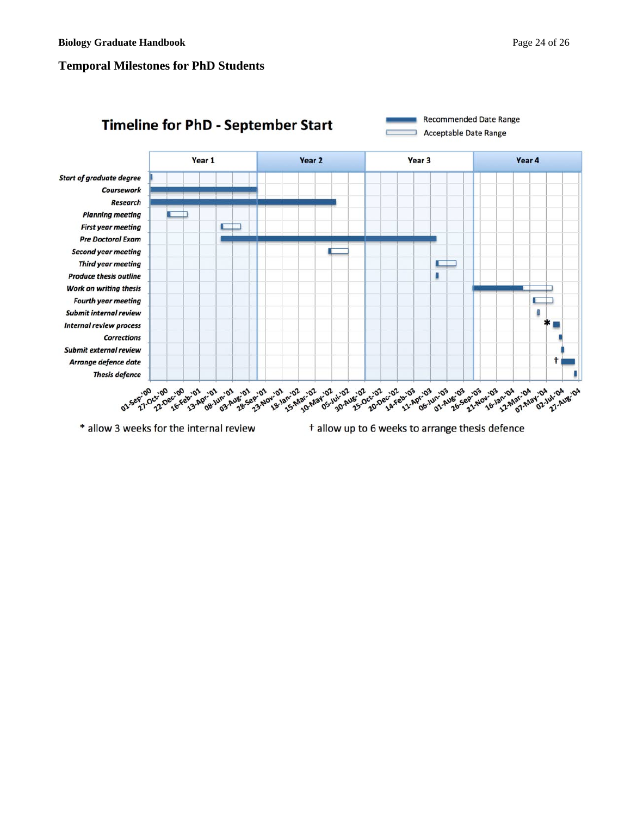## **Temporal Milestones for PhD Students**



t allow up to 6 weeks to arrange thesis defence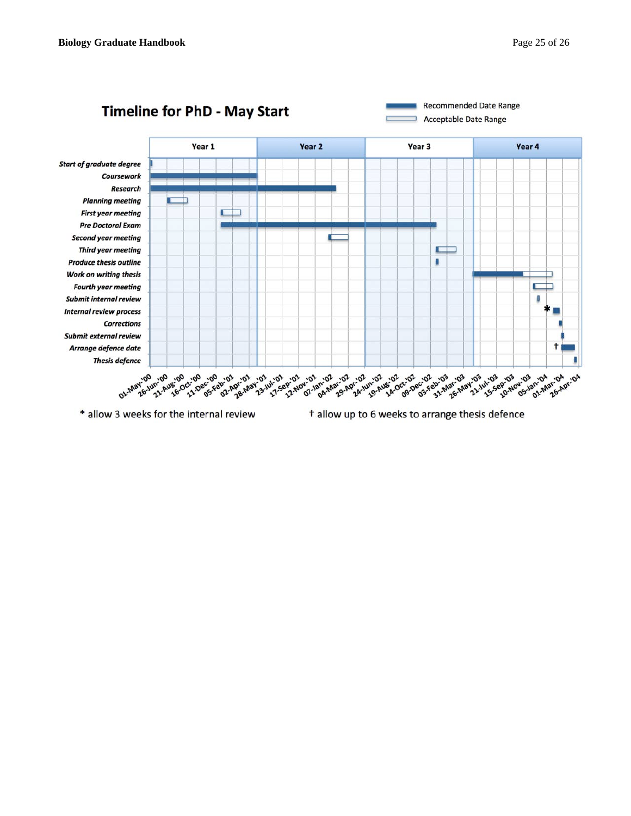

t allow up to 6 weeks to arrange thesis defence